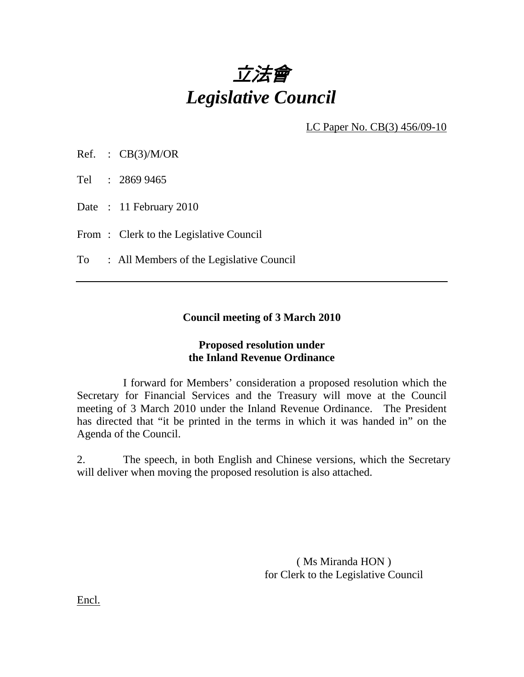

LC Paper No. CB(3) 456/09-10

Ref. :  $CB(3)/M/OR$ 

Tel : 2869 9465

Date : 11 February 2010

From: Clerk to the Legislative Council

To : All Members of the Legislative Council

#### **Council meeting of 3 March 2010**

#### **Proposed resolution under the Inland Revenue Ordinance**

 I forward for Members' consideration a proposed resolution which the Secretary for Financial Services and the Treasury will move at the Council meeting of 3 March 2010 under the Inland Revenue Ordinance. The President has directed that "it be printed in the terms in which it was handed in" on the Agenda of the Council.

2. The speech, in both English and Chinese versions, which the Secretary will deliver when moving the proposed resolution is also attached.

> ( Ms Miranda HON ) for Clerk to the Legislative Council

Encl.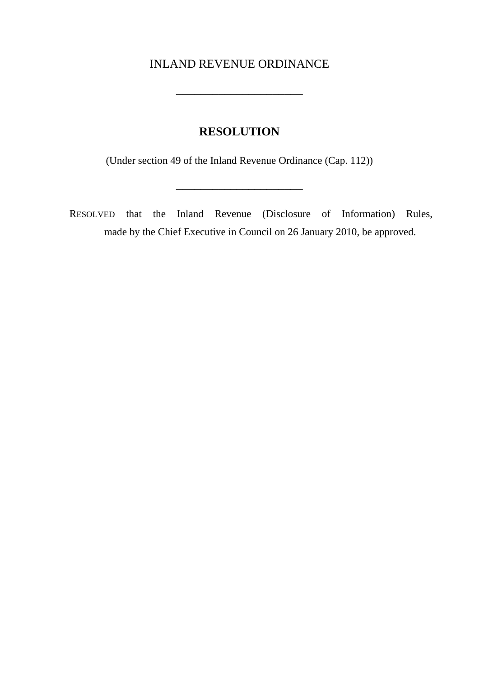# INLAND REVENUE ORDINANCE

 $\mathcal{L}_\text{max}$ 

# **RESOLUTION**

(Under section 49 of the Inland Revenue Ordinance (Cap. 112))

\_\_\_\_\_\_\_\_\_\_\_\_\_\_\_\_\_\_\_\_\_

RESOLVED that the Inland Revenue (Disclosure of Information) Rules, made by the Chief Executive in Council on 26 January 2010, be approved.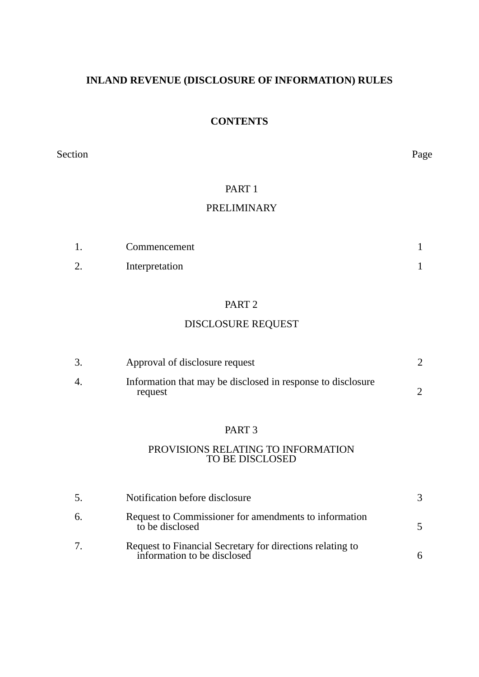# **INLAND REVENUE (DISCLOSURE OF INFORMATION) RULES**

# **CONTENTS**

Section Page

### PART<sub>1</sub>

# PRELIMINARY

|               | Commencement   |  |
|---------------|----------------|--|
| ⌒<br><u>.</u> | Interpretation |  |

## PART 2

# DISCLOSURE REQUEST

|    | Approval of disclosure request                                         |  |
|----|------------------------------------------------------------------------|--|
| 4. | Information that may be disclosed in response to disclosure<br>request |  |

#### PART 3

#### PROVISIONS RELATING TO INFORMATION TO BE DISCLOSED

| 5.     | Notification before disclosure                                                           |  |
|--------|------------------------------------------------------------------------------------------|--|
| 6.     | Request to Commissioner for amendments to information<br>to be disclosed                 |  |
| $\tau$ | Request to Financial Secretary for directions relating to<br>information to be disclosed |  |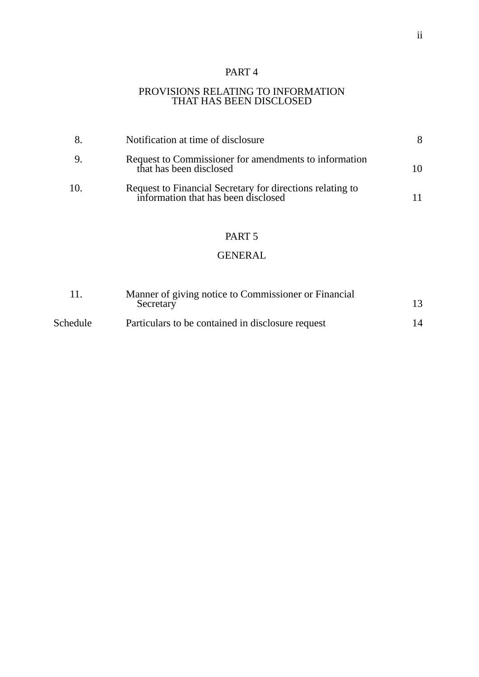# PART 4

#### PROVISIONS RELATING TO INFORMATION THAT HAS BEEN DISCLOSED

| 8.  | Notification at time of disclosure                                                               |  |
|-----|--------------------------------------------------------------------------------------------------|--|
| 9.  | Request to Commissioner for amendments to information<br>that has been disclosed                 |  |
| 10. | Request to Financial Secretary for directions relating to<br>information that has been disclosed |  |

### PART 5

# GENERAL

|          | Manner of giving notice to Commissioner or Financial<br>Secretary | 13 |
|----------|-------------------------------------------------------------------|----|
| Schedule | Particulars to be contained in disclosure request                 | 14 |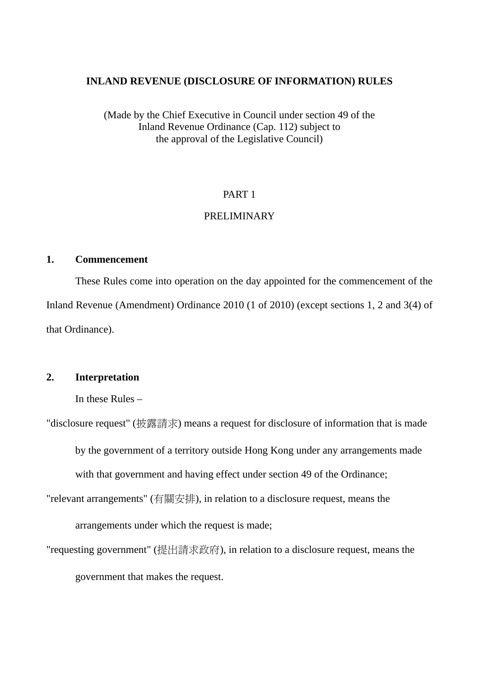#### **INLAND REVENUE (DISCLOSURE OF INFORMATION) RULES**

(Made by the Chief Executive in Council under section 49 of the Inland Revenue Ordinance (Cap. 112) subject to the approval of the Legislative Council)

### PART 1

# PRELIMINARY

### **1. Commencement**

These Rules come into operation on the day appointed for the commencement of the Inland Revenue (Amendment) Ordinance 2010 (1 of 2010) (except sections 1, 2 and 3(4) of that Ordinance).

#### **2. Interpretation**

In these Rules –

"disclosure request" (披露請求) means a request for disclosure of information that is made

by the government of a territory outside Hong Kong under any arrangements made with that government and having effect under section 49 of the Ordinance;

"relevant arrangements" (有關安排), in relation to a disclosure request, means the

arrangements under which the request is made;

"requesting government" (提出請求政府 ), in relation to a disclosure request, means the government that makes the request.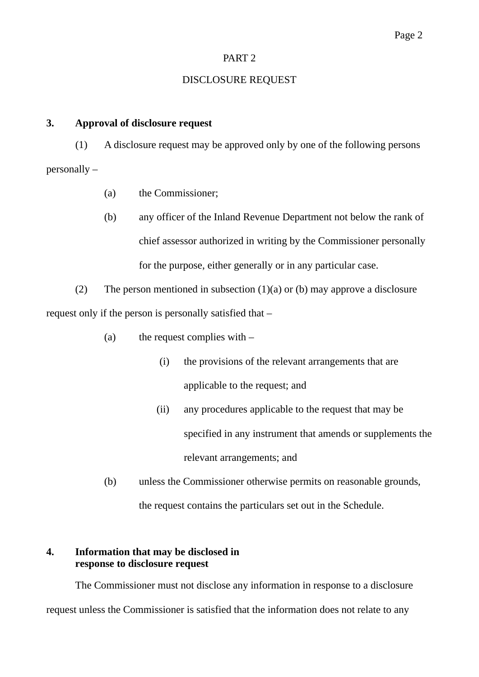# PART 2

# DISCLOSURE REQUEST

### **3. Approval of disclosure request**

(1) A disclosure request may be approved only by one of the following persons personally –

- (a) the Commissioner;
- (b) any officer of the Inland Revenue Department not below the rank of chief assessor authorized in writing by the Commissioner personally for the purpose, either generally or in any particular case.

(2) The person mentioned in subsection  $(1)(a)$  or (b) may approve a disclosure request only if the person is personally satisfied that –

- (a) the request complies with  $-$ 
	- (i) the provisions of the relevant arrangements that are applicable to the request; and
	- (ii) any procedures applicable to the request that may be specified in any instrument that amends or supplements the relevant arrangements; and
- (b) unless the Commissioner otherwise permits on reasonable grounds, the request contains the particulars set out in the Schedule.

# **4. Information that may be disclosed in response to disclosure request**

The Commissioner must not disclose any information in response to a disclosure request unless the Commissioner is satisfied that the information does not relate to any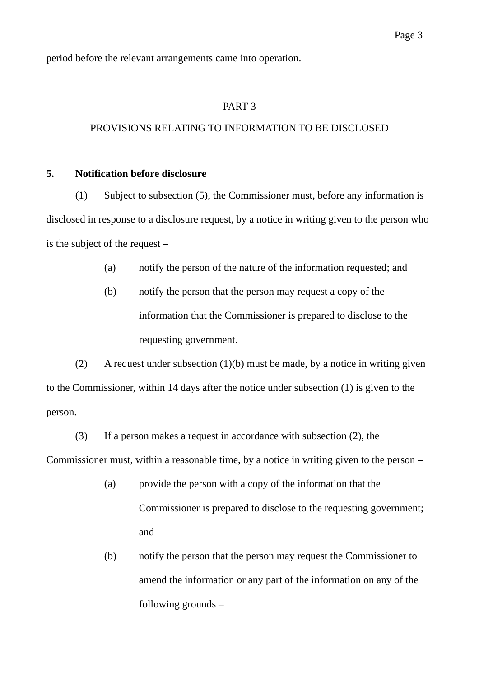period before the relevant arrangements came into operation.

#### PART 3

#### PROVISIONS RELATING TO INFORMATION TO BE DISCLOSED

#### **5. Notification before disclosure**

(1) Subject to subsection (5), the Commissioner must, before any information is disclosed in response to a disclosure request, by a notice in writing given to the person who is the subject of the request –

- (a) notify the person of the nature of the information requested; and
- (b) notify the person that the person may request a copy of the information that the Commissioner is prepared to disclose to the requesting government.

(2) A request under subsection  $(1)(b)$  must be made, by a notice in writing given to the Commissioner, within 14 days after the notice under subsection (1) is given to the person.

(3) If a person makes a request in accordance with subsection (2), the Commissioner must, within a reasonable time, by a notice in writing given to the person –

- (a) provide the person with a copy of the information that the Commissioner is prepared to disclose to the requesting government; and
- (b) notify the person that the person may request the Commissioner to amend the information or any part of the information on any of the following grounds –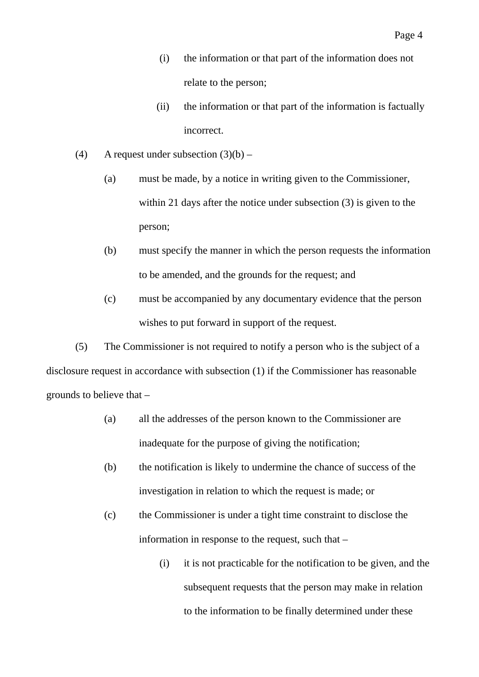- (ii) the information or that part of the information is factually incorrect.
- (4) A request under subsection  $(3)(b)$ 
	- (a) must be made, by a notice in writing given to the Commissioner, within 21 days after the notice under subsection (3) is given to the person;
	- (b) must specify the manner in which the person requests the information to be amended, and the grounds for the request; and
	- (c) must be accompanied by any documentary evidence that the person wishes to put forward in support of the request.

(5) The Commissioner is not required to notify a person who is the subject of a disclosure request in accordance with subsection (1) if the Commissioner has reasonable grounds to believe that –

- (a) all the addresses of the person known to the Commissioner are inadequate for the purpose of giving the notification;
- (b) the notification is likely to undermine the chance of success of the investigation in relation to which the request is made; or
- (c) the Commissioner is under a tight time constraint to disclose the information in response to the request, such that –
	- (i) it is not practicable for the notification to be given, and the subsequent requests that the person may make in relation to the information to be finally determined under these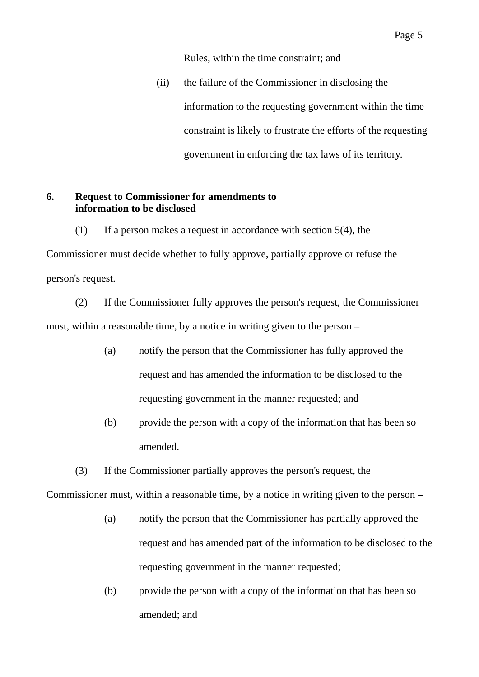Rules, within the time constraint; and

 (ii) the failure of the Commissioner in disclosing the information to the requesting government within the time constraint is likely to frustrate the efforts of the requesting government in enforcing the tax laws of its territory.

### **6. Request to Commissioner for amendments to information to be disclosed**

(1) If a person makes a request in accordance with section 5(4), the Commissioner must decide whether to fully approve, partially approve or refuse the person's request.

(2) If the Commissioner fully approves the person's request, the Commissioner must, within a reasonable time, by a notice in writing given to the person –

- (a) notify the person that the Commissioner has fully approved the request and has amended the information to be disclosed to the requesting government in the manner requested; and
- (b) provide the person with a copy of the information that has been so amended.

(3) If the Commissioner partially approves the person's request, the

Commissioner must, within a reasonable time, by a notice in writing given to the person –

- (a) notify the person that the Commissioner has partially approved the request and has amended part of the information to be disclosed to the requesting government in the manner requested;
- (b) provide the person with a copy of the information that has been so amended; and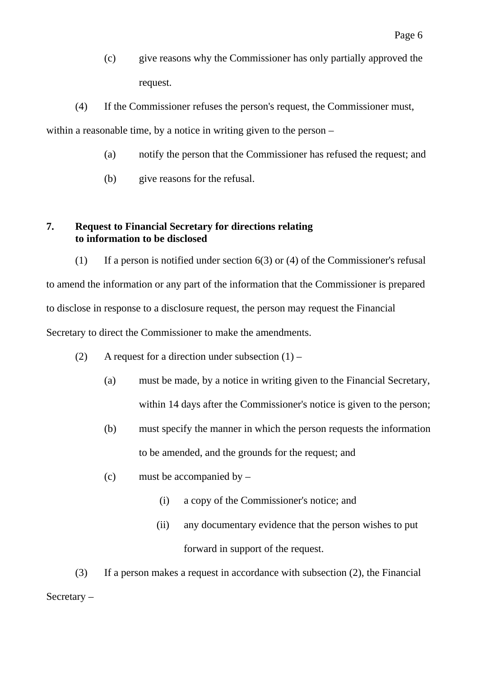- (c) give reasons why the Commissioner has only partially approved the request.
- (4) If the Commissioner refuses the person's request, the Commissioner must,

within a reasonable time, by a notice in writing given to the person –

- (a) notify the person that the Commissioner has refused the request; and
- (b) give reasons for the refusal.

# **7. Request to Financial Secretary for directions relating to information to be disclosed**

(1) If a person is notified under section  $6(3)$  or (4) of the Commissioner's refusal to amend the information or any part of the information that the Commissioner is prepared to disclose in response to a disclosure request, the person may request the Financial Secretary to direct the Commissioner to make the amendments.

- (2) A request for a direction under subsection  $(1)$ 
	- (a) must be made, by a notice in writing given to the Financial Secretary, within 14 days after the Commissioner's notice is given to the person;
	- (b) must specify the manner in which the person requests the information to be amended, and the grounds for the request; and
	- (c) must be accompanied by
		- (i) a copy of the Commissioner's notice; and
		- (ii) any documentary evidence that the person wishes to put forward in support of the request.

(3) If a person makes a request in accordance with subsection (2), the Financial Secretary –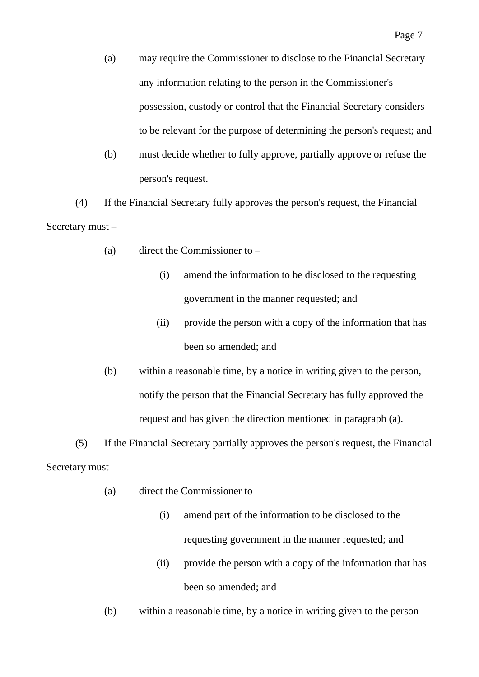- (a) may require the Commissioner to disclose to the Financial Secretary any information relating to the person in the Commissioner's possession, custody or control that the Financial Secretary considers to be relevant for the purpose of determining the person's request; and
- (b) must decide whether to fully approve, partially approve or refuse the person's request.

(4) If the Financial Secretary fully approves the person's request, the Financial Secretary must –

- (a) direct the Commissioner to
	- (i) amend the information to be disclosed to the requesting government in the manner requested; and
	- (ii) provide the person with a copy of the information that has been so amended; and
- (b) within a reasonable time, by a notice in writing given to the person, notify the person that the Financial Secretary has fully approved the request and has given the direction mentioned in paragraph (a).

(5) If the Financial Secretary partially approves the person's request, the Financial Secretary must –

- (a) direct the Commissioner to
	- (i) amend part of the information to be disclosed to the requesting government in the manner requested; and
	- (ii) provide the person with a copy of the information that has been so amended; and
- (b) within a reasonable time, by a notice in writing given to the person –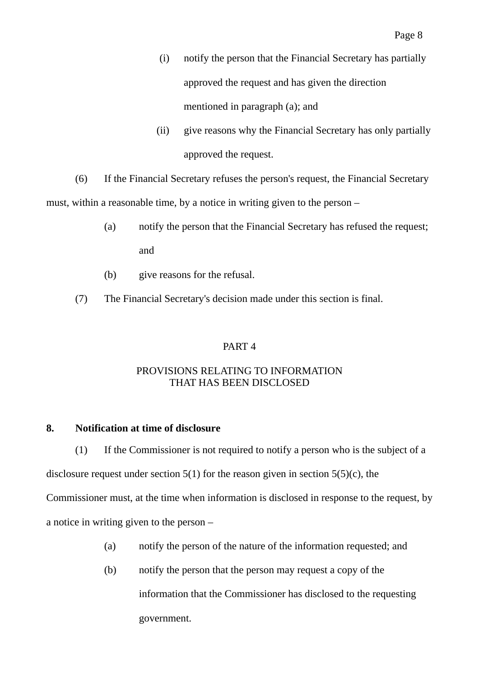- (i) notify the person that the Financial Secretary has partially approved the request and has given the direction mentioned in paragraph (a); and
- (ii) give reasons why the Financial Secretary has only partially approved the request.

(6) If the Financial Secretary refuses the person's request, the Financial Secretary must, within a reasonable time, by a notice in writing given to the person –

- (a) notify the person that the Financial Secretary has refused the request; and
- (b) give reasons for the refusal.
- (7) The Financial Secretary's decision made under this section is final.

# PART 4

# PROVISIONS RELATING TO INFORMATION THAT HAS BEEN DISCLOSED

# **8. Notification at time of disclosure**

(1) If the Commissioner is not required to notify a person who is the subject of a

disclosure request under section  $5(1)$  for the reason given in section  $5(5)(c)$ , the

Commissioner must, at the time when information is disclosed in response to the request, by a notice in writing given to the person –

- (a) notify the person of the nature of the information requested; and
- (b) notify the person that the person may request a copy of the information that the Commissioner has disclosed to the requesting government.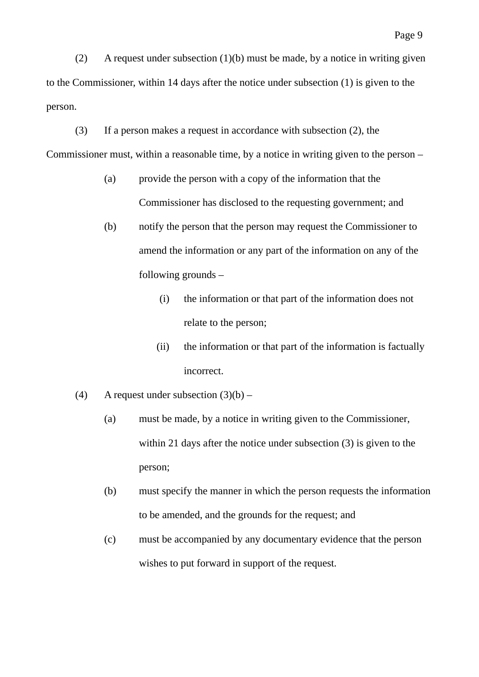(2) A request under subsection (1)(b) must be made, by a notice in writing given to the Commissioner, within 14 days after the notice under subsection (1) is given to the person.

(3) If a person makes a request in accordance with subsection (2), the

Commissioner must, within a reasonable time, by a notice in writing given to the person –

- (a) provide the person with a copy of the information that the Commissioner has disclosed to the requesting government; and
- (b) notify the person that the person may request the Commissioner to amend the information or any part of the information on any of the following grounds –
	- (i) the information or that part of the information does not relate to the person;
	- (ii) the information or that part of the information is factually incorrect.
- (4) A request under subsection  $(3)(b)$ 
	- (a) must be made, by a notice in writing given to the Commissioner, within 21 days after the notice under subsection (3) is given to the person;
	- (b) must specify the manner in which the person requests the information to be amended, and the grounds for the request; and
	- (c) must be accompanied by any documentary evidence that the person wishes to put forward in support of the request.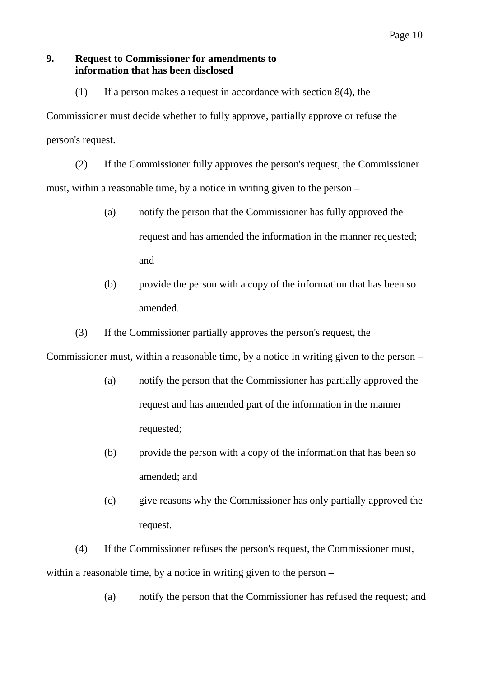### **9. Request to Commissioner for amendments to information that has been disclosed**

(1) If a person makes a request in accordance with section 8(4), the

Commissioner must decide whether to fully approve, partially approve or refuse the person's request.

(2) If the Commissioner fully approves the person's request, the Commissioner must, within a reasonable time, by a notice in writing given to the person –

- (a) notify the person that the Commissioner has fully approved the request and has amended the information in the manner requested; and
- (b) provide the person with a copy of the information that has been so amended.
- (3) If the Commissioner partially approves the person's request, the

Commissioner must, within a reasonable time, by a notice in writing given to the person –

- (a) notify the person that the Commissioner has partially approved the request and has amended part of the information in the manner requested;
- (b) provide the person with a copy of the information that has been so amended; and
- (c) give reasons why the Commissioner has only partially approved the request.

(4) If the Commissioner refuses the person's request, the Commissioner must, within a reasonable time, by a notice in writing given to the person –

(a) notify the person that the Commissioner has refused the request; and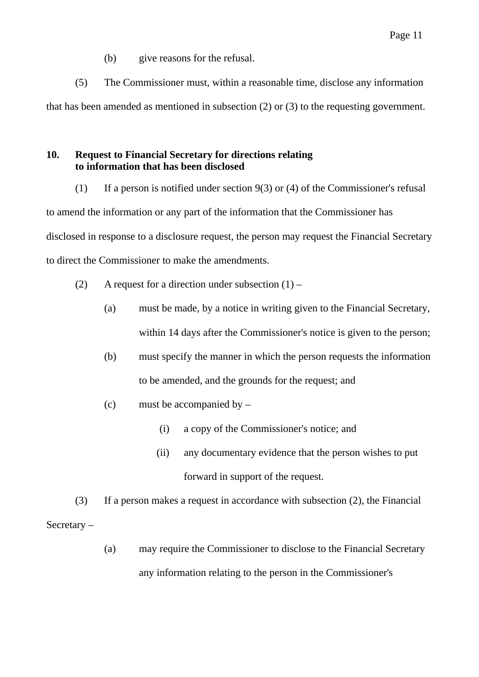(b) give reasons for the refusal.

(5) The Commissioner must, within a reasonable time, disclose any information that has been amended as mentioned in subsection (2) or (3) to the requesting government.

# **10. Request to Financial Secretary for directions relating to information that has been disclosed**

(1) If a person is notified under section  $9(3)$  or (4) of the Commissioner's refusal

to amend the information or any part of the information that the Commissioner has disclosed in response to a disclosure request, the person may request the Financial Secretary to direct the Commissioner to make the amendments.

- (2) A request for a direction under subsection  $(1)$ 
	- (a) must be made, by a notice in writing given to the Financial Secretary, within 14 days after the Commissioner's notice is given to the person;
	- (b) must specify the manner in which the person requests the information to be amended, and the grounds for the request; and
	- (c) must be accompanied by
		- (i) a copy of the Commissioner's notice; and
		- (ii) any documentary evidence that the person wishes to put forward in support of the request.

(3) If a person makes a request in accordance with subsection (2), the Financial Secretary –

> (a) may require the Commissioner to disclose to the Financial Secretary any information relating to the person in the Commissioner's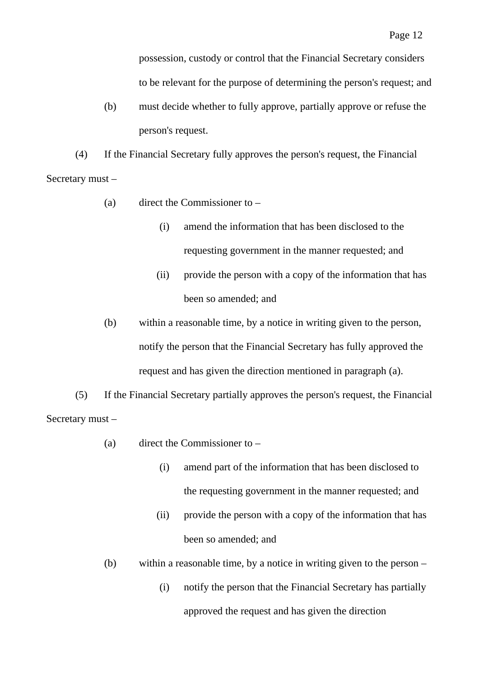possession, custody or control that the Financial Secretary considers to be relevant for the purpose of determining the person's request; and

(b) must decide whether to fully approve, partially approve or refuse the person's request.

(4) If the Financial Secretary fully approves the person's request, the Financial Secretary must –

- (a) direct the Commissioner to
	- (i) amend the information that has been disclosed to the requesting government in the manner requested; and
	- (ii) provide the person with a copy of the information that has been so amended; and
- (b) within a reasonable time, by a notice in writing given to the person, notify the person that the Financial Secretary has fully approved the request and has given the direction mentioned in paragraph (a).

(5) If the Financial Secretary partially approves the person's request, the Financial Secretary must –

- (a) direct the Commissioner to
	- (i) amend part of the information that has been disclosed to the requesting government in the manner requested; and
	- (ii) provide the person with a copy of the information that has been so amended; and
- (b) within a reasonable time, by a notice in writing given to the person
	- (i) notify the person that the Financial Secretary has partially approved the request and has given the direction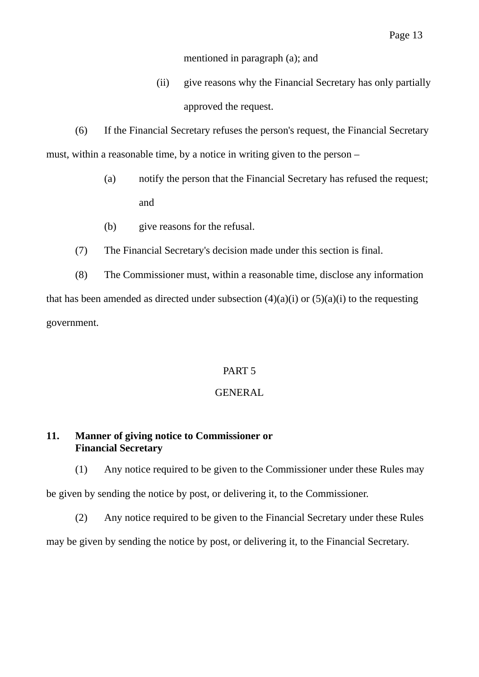mentioned in paragraph (a); and

 (ii) give reasons why the Financial Secretary has only partially approved the request.

(6) If the Financial Secretary refuses the person's request, the Financial Secretary must, within a reasonable time, by a notice in writing given to the person –

- (a) notify the person that the Financial Secretary has refused the request; and
- (b) give reasons for the refusal.
- (7) The Financial Secretary's decision made under this section is final.

(8) The Commissioner must, within a reasonable time, disclose any information that has been amended as directed under subsection  $(4)(a)(i)$  or  $(5)(a)(i)$  to the requesting government.

# PART 5

### GENERAL

# **11. Manner of giving notice to Commissioner or Financial Secretary**

(1) Any notice required to be given to the Commissioner under these Rules may be given by sending the notice by post, or delivering it, to the Commissioner.

(2) Any notice required to be given to the Financial Secretary under these Rules may be given by sending the notice by post, or delivering it, to the Financial Secretary.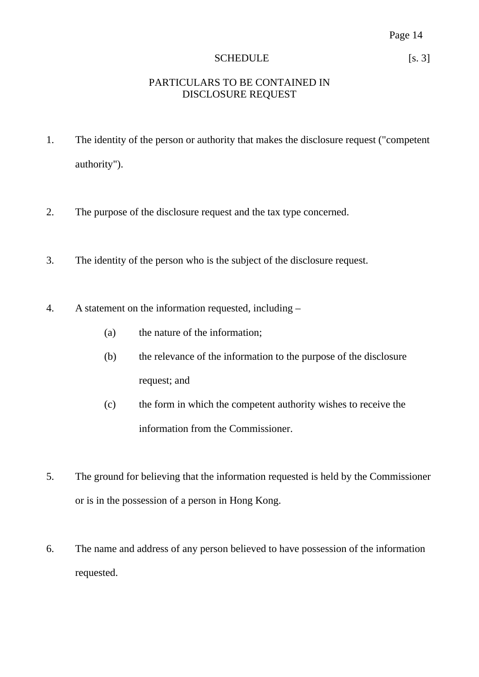# SCHEDULE [s. 3]

# PARTICULARS TO BE CONTAINED IN DISCLOSURE REQUEST

- 1. The identity of the person or authority that makes the disclosure request ("competent authority").
- 2. The purpose of the disclosure request and the tax type concerned.
- 3. The identity of the person who is the subject of the disclosure request.
- 4. A statement on the information requested, including
	- (a) the nature of the information;
	- (b) the relevance of the information to the purpose of the disclosure request; and
	- (c) the form in which the competent authority wishes to receive the information from the Commissioner.
- 5. The ground for believing that the information requested is held by the Commissioner or is in the possession of a person in Hong Kong.
- 6. The name and address of any person believed to have possession of the information requested.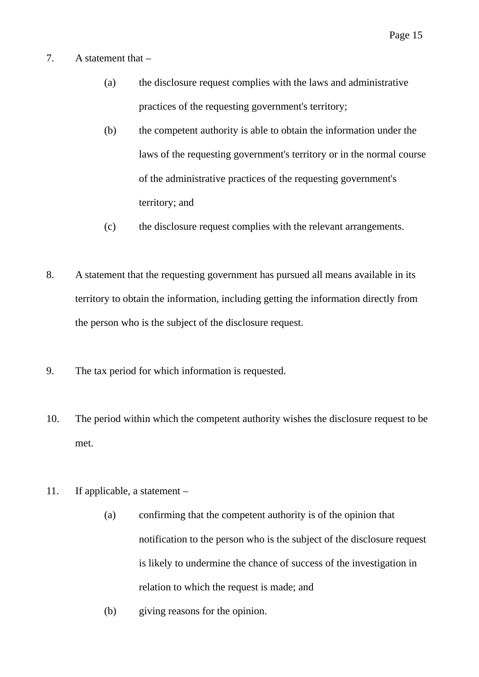- 7. A statement that
	- (a) the disclosure request complies with the laws and administrative practices of the requesting government's territory;
	- (b) the competent authority is able to obtain the information under the laws of the requesting government's territory or in the normal course of the administrative practices of the requesting government's territory; and
	- (c) the disclosure request complies with the relevant arrangements.
- 8. A statement that the requesting government has pursued all means available in its territory to obtain the information, including getting the information directly from the person who is the subject of the disclosure request.
- 9. The tax period for which information is requested.
- 10. The period within which the competent authority wishes the disclosure request to be met.
- 11. If applicable, a statement
	- (a) confirming that the competent authority is of the opinion that notification to the person who is the subject of the disclosure request is likely to undermine the chance of success of the investigation in relation to which the request is made; and
	- (b) giving reasons for the opinion.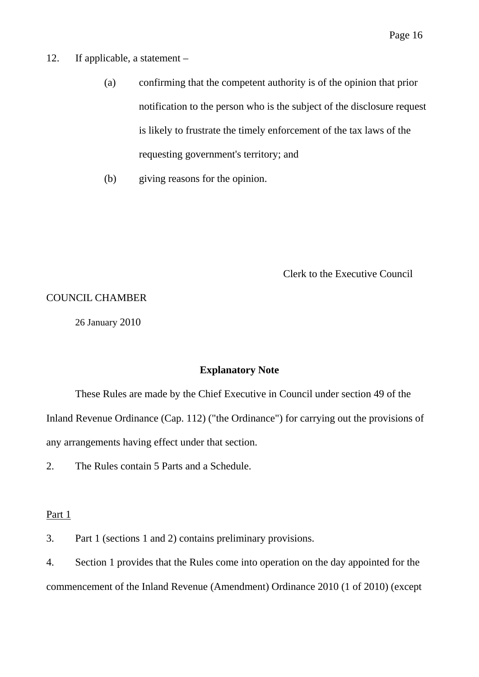- 12. If applicable, a statement
	- (a) confirming that the competent authority is of the opinion that prior notification to the person who is the subject of the disclosure request is likely to frustrate the timely enforcement of the tax laws of the requesting government's territory; and
	- (b) giving reasons for the opinion.

Clerk to the Executive Council

#### COUNCIL CHAMBER

26 January 2010

#### **Explanatory Note**

These Rules are made by the Chief Executive in Council under section 49 of the Inland Revenue Ordinance (Cap. 112) ("the Ordinance") for carrying out the provisions of any arrangements having effect under that section.

2. The Rules contain 5 Parts and a Schedule.

#### Part 1

3. Part 1 (sections 1 and 2) contains preliminary provisions.

4. Section 1 provides that the Rules come into operation on the day appointed for the commencement of the Inland Revenue (Amendment) Ordinance 2010 (1 of 2010) (except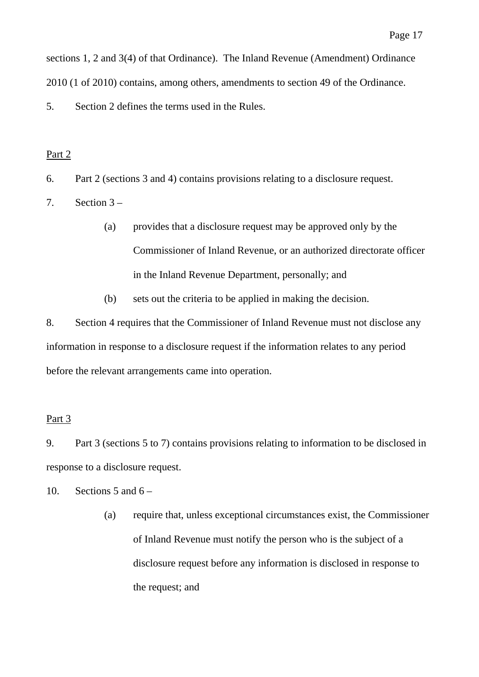sections 1, 2 and 3(4) of that Ordinance). The Inland Revenue (Amendment) Ordinance 2010 (1 of 2010) contains, among others, amendments to section 49 of the Ordinance.

5. Section 2 defines the terms used in the Rules.

# Part 2

6. Part 2 (sections 3 and 4) contains provisions relating to a disclosure request.

7. Section  $3 -$ 

- (a) provides that a disclosure request may be approved only by the Commissioner of Inland Revenue, or an authorized directorate officer in the Inland Revenue Department, personally; and
- (b) sets out the criteria to be applied in making the decision.

8. Section 4 requires that the Commissioner of Inland Revenue must not disclose any information in response to a disclosure request if the information relates to any period before the relevant arrangements came into operation.

# Part 3

9. Part 3 (sections 5 to 7) contains provisions relating to information to be disclosed in response to a disclosure request.

10. Sections 5 and  $6 -$ 

(a) require that, unless exceptional circumstances exist, the Commissioner of Inland Revenue must notify the person who is the subject of a disclosure request before any information is disclosed in response to the request; and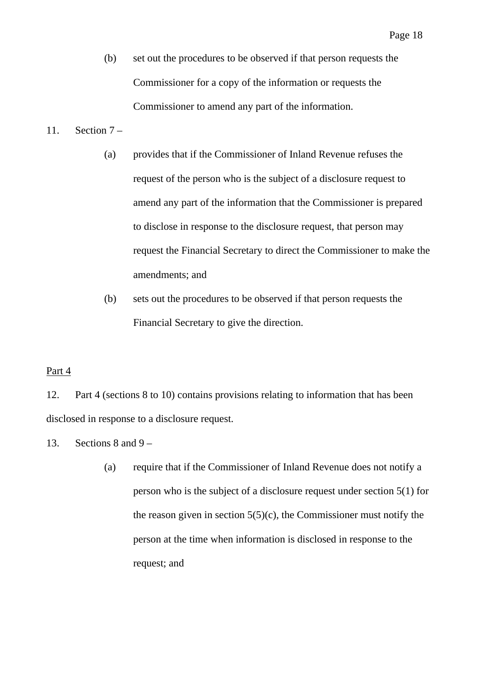(b) set out the procedures to be observed if that person requests the Commissioner for a copy of the information or requests the Commissioner to amend any part of the information.

# 11. Section 7 –

- (a) provides that if the Commissioner of Inland Revenue refuses the request of the person who is the subject of a disclosure request to amend any part of the information that the Commissioner is prepared to disclose in response to the disclosure request, that person may request the Financial Secretary to direct the Commissioner to make the amendments; and
- (b) sets out the procedures to be observed if that person requests the Financial Secretary to give the direction.

# Part 4

12. Part 4 (sections 8 to 10) contains provisions relating to information that has been disclosed in response to a disclosure request.

13. Sections 8 and 9 –

(a) require that if the Commissioner of Inland Revenue does not notify a person who is the subject of a disclosure request under section 5(1) for the reason given in section  $5(5)(c)$ , the Commissioner must notify the person at the time when information is disclosed in response to the request; and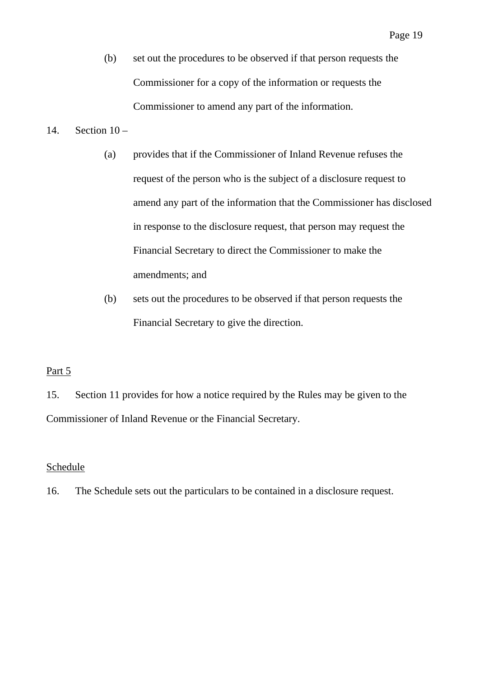(b) set out the procedures to be observed if that person requests the Commissioner for a copy of the information or requests the Commissioner to amend any part of the information.

# 14. Section  $10 -$

- (a) provides that if the Commissioner of Inland Revenue refuses the request of the person who is the subject of a disclosure request to amend any part of the information that the Commissioner has disclosed in response to the disclosure request, that person may request the Financial Secretary to direct the Commissioner to make the amendments; and
- (b) sets out the procedures to be observed if that person requests the Financial Secretary to give the direction.

# Part 5

15. Section 11 provides for how a notice required by the Rules may be given to the Commissioner of Inland Revenue or the Financial Secretary.

# **Schedule**

16. The Schedule sets out the particulars to be contained in a disclosure request.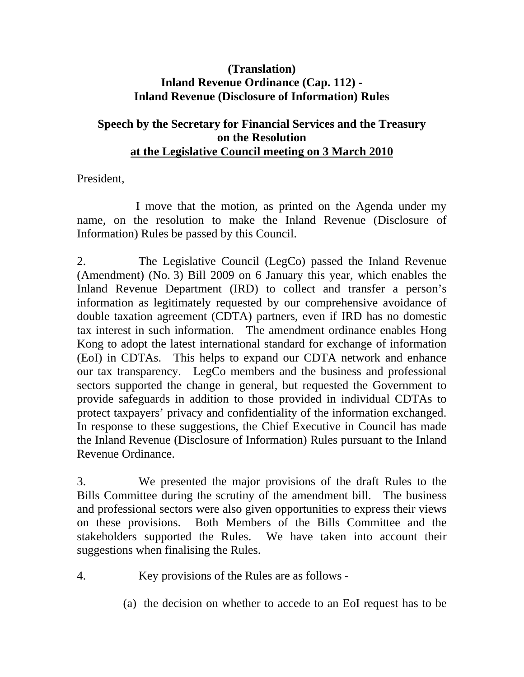# **(Translation) Inland Revenue Ordinance (Cap. 112) - Inland Revenue (Disclosure of Information) Rules**

# **Speech by the Secretary for Financial Services and the Treasury on the Resolution at the Legislative Council meeting on 3 March 2010**

President,

 I move that the motion, as printed on the Agenda under my name, on the resolution to make the Inland Revenue (Disclosure of Information) Rules be passed by this Council.

2. The Legislative Council (LegCo) passed the Inland Revenue (Amendment) (No. 3) Bill 2009 on 6 January this year, which enables the Inland Revenue Department (IRD) to collect and transfer a person's information as legitimately requested by our comprehensive avoidance of double taxation agreement (CDTA) partners, even if IRD has no domestic tax interest in such information. The amendment ordinance enables Hong Kong to adopt the latest international standard for exchange of information (EoI) in CDTAs. This helps to expand our CDTA network and enhance our tax transparency. LegCo members and the business and professional sectors supported the change in general, but requested the Government to provide safeguards in addition to those provided in individual CDTAs to protect taxpayers' privacy and confidentiality of the information exchanged. In response to these suggestions, the Chief Executive in Council has made the Inland Revenue (Disclosure of Information) Rules pursuant to the Inland Revenue Ordinance.

3. We presented the major provisions of the draft Rules to the Bills Committee during the scrutiny of the amendment bill. The business and professional sectors were also given opportunities to express their views on these provisions. Both Members of the Bills Committee and the stakeholders supported the Rules. We have taken into account their suggestions when finalising the Rules.

- 4. Key provisions of the Rules are as follows
	- (a) the decision on whether to accede to an EoI request has to be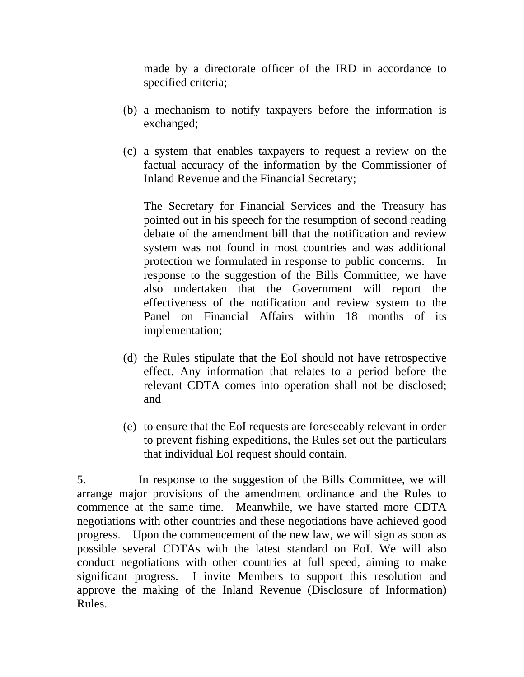made by a directorate officer of the IRD in accordance to specified criteria;

- (b) a mechanism to notify taxpayers before the information is exchanged;
- (c) a system that enables taxpayers to request a review on the factual accuracy of the information by the Commissioner of Inland Revenue and the Financial Secretary;

The Secretary for Financial Services and the Treasury has pointed out in his speech for the resumption of second reading debate of the amendment bill that the notification and review system was not found in most countries and was additional protection we formulated in response to public concerns. In response to the suggestion of the Bills Committee, we have also undertaken that the Government will report the effectiveness of the notification and review system to the Panel on Financial Affairs within 18 months of its implementation;

- (d) the Rules stipulate that the EoI should not have retrospective effect. Any information that relates to a period before the relevant CDTA comes into operation shall not be disclosed; and
- (e) to ensure that the EoI requests are foreseeably relevant in order to prevent fishing expeditions, the Rules set out the particulars that individual EoI request should contain.

5. In response to the suggestion of the Bills Committee, we will arrange major provisions of the amendment ordinance and the Rules to commence at the same time. Meanwhile, we have started more CDTA negotiations with other countries and these negotiations have achieved good progress. Upon the commencement of the new law, we will sign as soon as possible several CDTAs with the latest standard on EoI. We will also conduct negotiations with other countries at full speed, aiming to make significant progress. I invite Members to support this resolution and approve the making of the Inland Revenue (Disclosure of Information) Rules.